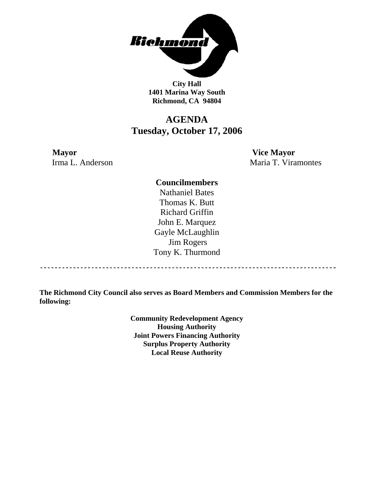

**City Hall 1401 Marina Way South Richmond, CA 94804** 

## **AGENDA Tuesday, October 17, 2006**

**Mayor Vice Mayor** 

Irma L. Anderson Maria T. Viramontes

### **Councilmembers**

Nathaniel Bates Thomas K. Butt Richard Griffin John E. Marquez Gayle McLaughlin Jim Rogers Tony K. Thurmond

------------------------------------

**The Richmond City Council also serves as Board Members and Commission Members for the following:** 

> **Community Redevelopment Agency Housing Authority Joint Powers Financing Authority Surplus Property Authority Local Reuse Authority**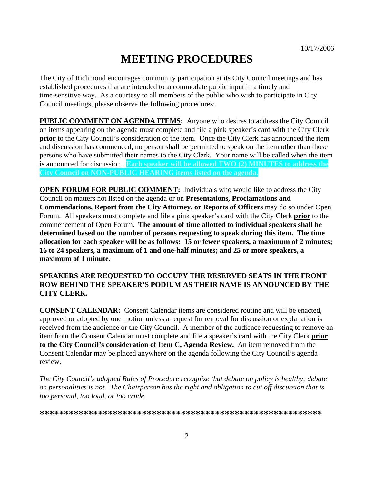# **MEETING PROCEDURES**

The City of Richmond encourages community participation at its City Council meetings and has established procedures that are intended to accommodate public input in a timely and time-sensitive way. As a courtesy to all members of the public who wish to participate in City Council meetings, please observe the following procedures:

**PUBLIC COMMENT ON AGENDA ITEMS:** Anyone who desires to address the City Council on items appearing on the agenda must complete and file a pink speaker's card with the City Clerk **prior** to the City Council's consideration of the item. Once the City Clerk has announced the item and discussion has commenced, no person shall be permitted to speak on the item other than those persons who have submitted their names to the City Clerk. Your name will be called when the item is announced for discussion. **Each speaker will be allowed TWO (2) MINUTES to address the City Council on NON-PUBLIC HEARING items listed on the agenda.** 

**OPEN FORUM FOR PUBLIC COMMENT:** Individuals who would like to address the City Council on matters not listed on the agenda or on **Presentations, Proclamations and Commendations, Report from the City Attorney, or Reports of Officers** may do so under Open Forum. All speakers must complete and file a pink speaker's card with the City Clerk **prior** to the commencement of Open Forum. **The amount of time allotted to individual speakers shall be determined based on the number of persons requesting to speak during this item. The time allocation for each speaker will be as follows: 15 or fewer speakers, a maximum of 2 minutes; 16 to 24 speakers, a maximum of 1 and one-half minutes; and 25 or more speakers, a maximum of 1 minute.** 

### **SPEAKERS ARE REQUESTED TO OCCUPY THE RESERVED SEATS IN THE FRONT ROW BEHIND THE SPEAKER'S PODIUM AS THEIR NAME IS ANNOUNCED BY THE CITY CLERK.**

**CONSENT CALENDAR:** Consent Calendar items are considered routine and will be enacted, approved or adopted by one motion unless a request for removal for discussion or explanation is received from the audience or the City Council. A member of the audience requesting to remove an item from the Consent Calendar must complete and file a speaker's card with the City Clerk **prior to the City Council's consideration of Item C, Agenda Review.** An item removed from the Consent Calendar may be placed anywhere on the agenda following the City Council's agenda review.

*The City Council's adopted Rules of Procedure recognize that debate on policy is healthy; debate on personalities is not. The Chairperson has the right and obligation to cut off discussion that is too personal, too loud, or too crude.* 

**\*\*\*\*\*\*\*\*\*\*\*\*\*\*\*\*\*\*\*\*\*\*\*\*\*\*\*\*\*\*\*\*\*\*\*\*\*\*\*\*\*\*\*\*\*\*\*\*\*\*\*\*\*\*\*\*\*\***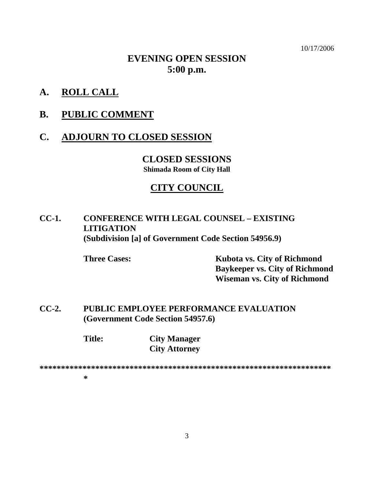10/17/2006

## **EVENING OPEN SESSION 5:00 p.m.**

**A. ROLL CALL**

### **B. PUBLIC COMMENT**

### **C. ADJOURN TO CLOSED SESSION**

**CLOSED SESSIONS Shimada Room of City Hall** 

### **CITY COUNCIL**

## **CC-1. CONFERENCE WITH LEGAL COUNSEL – EXISTING LITIGATION (Subdivision [a] of Government Code Section 54956.9)**

 **Three Cases: Kubota vs. City of Richmond Baykeeper vs. City of Richmond Wiseman vs. City of Richmond** 

**CC-2. PUBLIC EMPLOYEE PERFORMANCE EVALUATION (Government Code Section 54957.6)** 

> **Title: City Manager City Attorney**

**\*\*\*\*\*\*\*\*\*\*\*\*\*\*\*\*\*\*\*\*\*\*\*\*\*\*\*\*\*\*\*\*\*\*\*\*\*\*\*\*\*\*\*\*\*\*\*\*\*\*\*\*\*\*\*\*\*\*\*\*\*\*\*\*\*\*\*\***

**\***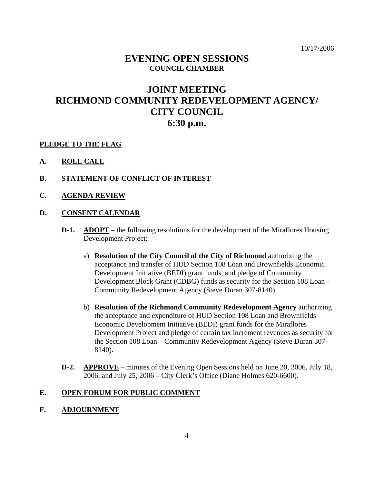### **EVENING OPEN SESSIONS COUNCIL CHAMBER**

## **JOINT MEETING RICHMOND COMMUNITY REDEVELOPMENT AGENCY/ CITY COUNCIL 6:30 p.m.**

### **PLEDGE TO THE FLAG**

- **A. ROLL CALL**
- **B. STATEMENT OF CONFLICT OF INTEREST**
- **C. AGENDA REVIEW**

#### **D. CONSENT CALENDAR**

- **D-1.** ADOPT the following resolutions for the development of the Miraflores Housing Development Project:
	- a) **Resolution of the City Council of the City of Richmond** authorizing the acceptance and transfer of HUD Section 108 Loan and Brownfields Economic Development Initiative (BEDI) grant funds, and pledge of Community Development Block Grant (CDBG) funds as security for the Section 108 Loan - Community Redevelopment Agency (Steve Duran 307-8140)
	- b) **Resolution of the Richmond Community Redevelopment Agency** authorizing the acceptance and expenditure of HUD Section 108 Loan and Brownfields Economic Development Initiative (BEDI) grant funds for the Miraflores Development Project and pledge of certain tax increment revenues as security for the Section 108 Loan – Community Redevelopment Agency (Steve Duran 307- 8140).
- **D-2. APPROVE** minutes of the Evening Open Sessions held on June 20, 2006, July 18, 2006, and July 25, 2006 – City Clerk's Office (Diane Holmes 620-6600).

### **E. OPEN FORUM FOR PUBLIC COMMENT**

**F. ADJOURNMENT**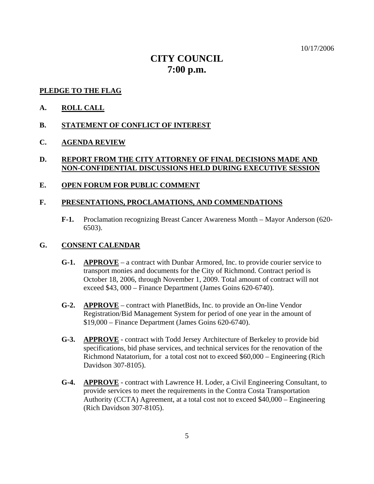10/17/2006

## **CITY COUNCIL 7:00 p.m.**

#### **PLEDGE TO THE FLAG**

- **A. ROLL CALL**
- **B. STATEMENT OF CONFLICT OF INTEREST**
- **C. AGENDA REVIEW**

### **D. REPORT FROM THE CITY ATTORNEY OF FINAL DECISIONS MADE AND NON-CONFIDENTIAL DISCUSSIONS HELD DURING EXECUTIVE SESSION**

**E. OPEN FORUM FOR PUBLIC COMMENT**

### **F. PRESENTATIONS, PROCLAMATIONS, AND COMMENDATIONS**

**F-1.** Proclamation recognizing Breast Cancer Awareness Month – Mayor Anderson (620- 6503).

#### **G. CONSENT CALENDAR**

- **G-1. APPROVE** a contract with Dunbar Armored, Inc. to provide courier service to transport monies and documents for the City of Richmond. Contract period is October 18, 2006, through November 1, 2009. Total amount of contract will not exceed \$43, 000 – Finance Department (James Goins 620-6740).
- **G-2. APPROVE** contract with PlanetBids, Inc. to provide an On-line Vendor Registration/Bid Management System for period of one year in the amount of \$19,000 – Finance Department (James Goins 620-6740).
- **G-3. APPROVE** contract with Todd Jersey Architecture of Berkeley to provide bid specifications, bid phase services, and technical services for the renovation of the Richmond Natatorium, for a total cost not to exceed \$60,000 – Engineering (Rich Davidson 307-8105).
- **G-4. APPROVE** contract with Lawrence H. Loder, a Civil Engineering Consultant, to provide services to meet the requirements in the Contra Costa Transportation Authority (CCTA) Agreement, at a total cost not to exceed \$40,000 – Engineering (Rich Davidson 307-8105).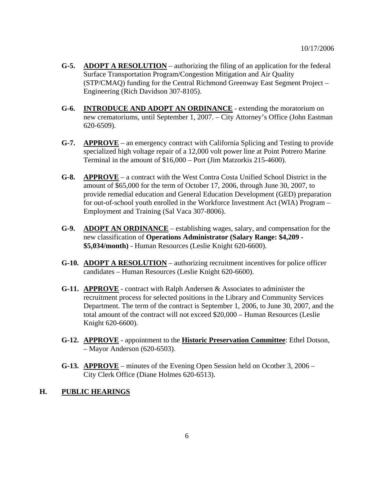- **G-5. ADOPT A RESOLUTION** authorizing the filing of an application for the federal Surface Transportation Program/Congestion Mitigation and Air Quality (STP/CMAQ) funding for the Central Richmond Greenway East Segment Project – Engineering (Rich Davidson 307-8105).
- **G-6. INTRODUCE AND ADOPT AN ORDINANCE** *-* extending the moratorium on new crematoriums, until September 1, 2007. – City Attorney's Office (John Eastman 620-6509).
- **G-7. APPROVE** an emergency contract with California Splicing and Testing to provide specialized high voltage repair of a 12,000 volt power line at Point Potrero Marine Terminal in the amount of \$16,000 – Port (Jim Matzorkis 215-4600).
- **G-8. APPROVE** a contract with the West Contra Costa Unified School District in the amount of \$65,000 for the term of October 17, 2006, through June 30, 2007, to provide remedial education and General Education Development (GED) preparation for out-of-school youth enrolled in the Workforce Investment Act (WIA) Program – Employment and Training (Sal Vaca 307-8006).
- **G-9. ADOPT AN ORDINANCE** establishing wages, salary, and compensation for the new classification of **Operations Administrator (Salary Range: \$4,209 - \$5,034/month)** - Human Resources (Leslie Knight 620-6600).
- **G-10. ADOPT A RESOLUTION** authorizing recruitment incentives for police officer candidates – Human Resources (Leslie Knight 620-6600).
- **G-11. APPROVE** contract with Ralph Andersen & Associates to administer the recruitment process for selected positions in the Library and Community Services Department. The term of the contract is September 1, 2006, to June 30, 2007, and the total amount of the contract will not exceed \$20,000 – Human Resources (Leslie Knight 620-6600).
- **G-12. APPROVE** appointment to the **Historic Preservation Committee**: Ethel Dotson, – Mayor Anderson (620-6503).
- **G-13. APPROVE** minutes of the Evening Open Session held on Ocotber 3, 2006 City Clerk Office (Diane Holmes 620-6513).

### **H. PUBLIC HEARINGS**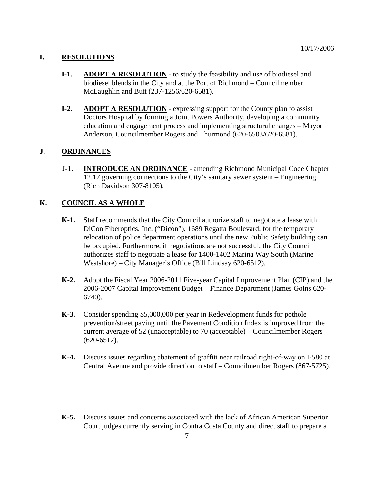### **I. RESOLUTIONS**

- **I-1. ADOPT A RESOLUTION** to study the feasibility and use of biodiesel and biodiesel blends in the City and at the Port of Richmond – Councilmember McLaughlin and Butt (237-1256/620-6581).
- **I-2.** ADOPT A RESOLUTION expressing support for the County plan to assist Doctors Hospital by forming a Joint Powers Authority, developing a community education and engagement process and implementing structural changes – Mayor Anderson, Councilmember Rogers and Thurmond (620-6503/620-6581).

### **J. ORDINANCES**

**J-1. INTRODUCE AN ORDINANCE** - amending Richmond Municipal Code Chapter 12.17 governing connections to the City's sanitary sewer system – Engineering (Rich Davidson 307-8105).

### **K. COUNCIL AS A WHOLE**

- **K-1.** Staff recommends that the City Council authorize staff to negotiate a lease with DiCon Fiberoptics, Inc. ("Dicon"), 1689 Regatta Boulevard, for the temporary relocation of police department operations until the new Public Safety building can be occupied. Furthermore, if negotiations are not successful, the City Council authorizes staff to negotiate a lease for 1400-1402 Marina Way South (Marine Westshore) – City Manager's Office (Bill Lindsay 620-6512).
- **K-2.** Adopt the Fiscal Year 2006-2011 Five-year Capital Improvement Plan (CIP) and the 2006-2007 Capital Improvement Budget – Finance Department (James Goins 620- 6740).
- **K-3.** Consider spending \$5,000,000 per year in Redevelopment funds for pothole prevention/street paving until the Pavement Condition Index is improved from the current average of 52 (unacceptable) to 70 (acceptable) – Councilmember Rogers (620-6512).
- **K-4.** Discuss issues regarding abatement of graffiti near railroad right-of-way on I-580 at Central Avenue and provide direction to staff – Councilmember Rogers (867-5725).
- **K-5.** Discuss issues and concerns associated with the lack of African American Superior Court judges currently serving in Contra Costa County and direct staff to prepare a